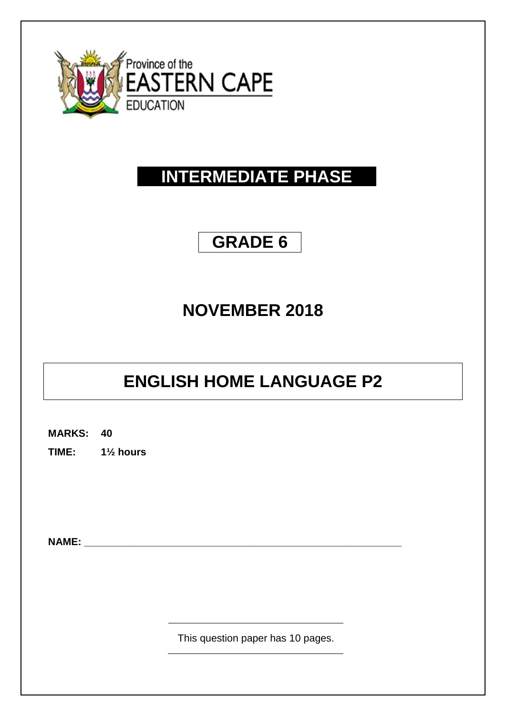

# **INTERMEDIATE PHASE**

# **GRADE 6**

# **NOVEMBER 2018**

# **ENGLISH HOME LANGUAGE P2**

**MARKS: 40**

**TIME: 1½ hours**

**NAME:** 

This question paper has 10 pages.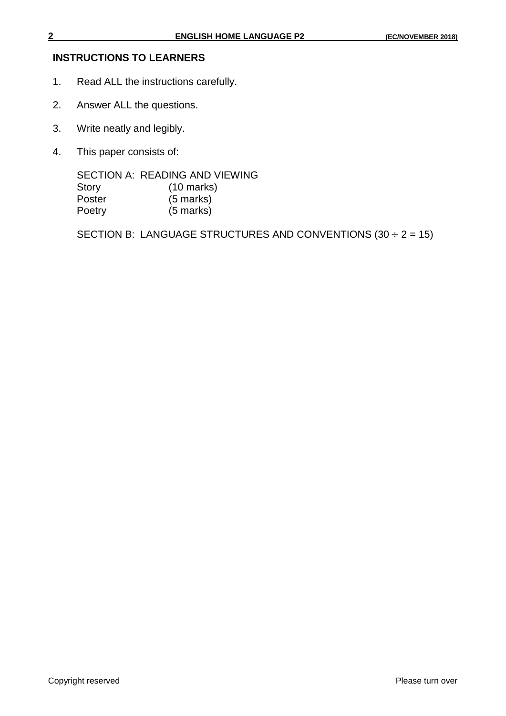#### **INSTRUCTIONS TO LEARNERS**

- 1. Read ALL the instructions carefully.
- 2. Answer ALL the questions.
- 3. Write neatly and legibly.
- 4. This paper consists of:

SECTION A: READING AND VIEWING Story (10 marks) Poster (5 marks) Poetry (5 marks)

SECTION B: LANGUAGE STRUCTURES AND CONVENTIONS  $(30 \div 2 = 15)$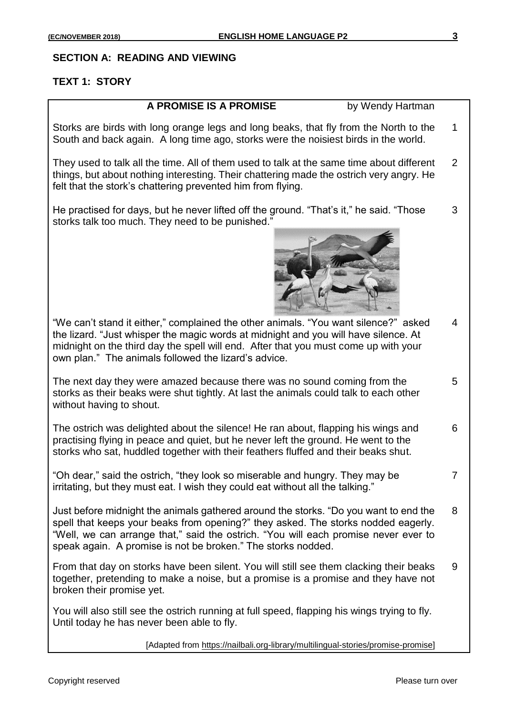5

7

#### **SECTION A: READING AND VIEWING**

### **TEXT 1: STORY**

#### **A PROMISE IS A PROMISE** by Wendy Hartman

Storks are birds with long orange legs and long beaks, that fly from the North to the South and back again. A long time ago, storks were the noisiest birds in the world. 1

They used to talk all the time. All of them used to talk at the same time about different things, but about nothing interesting. Their chattering made the ostrich very angry. He felt that the stork's chattering prevented him from flying. 2

He practised for days, but he never lifted off the ground. "That's it," he said. "Those storks talk too much. They need to be punished." 3



"We can't stand it either," complained the other animals. "You want silence?" asked the lizard. "Just whisper the magic words at midnight and you will have silence. At midnight on the third day the spell will end. After that you must come up with your own plan." The animals followed the lizard's advice. 4

The next day they were amazed because there was no sound coming from the storks as their beaks were shut tightly. At last the animals could talk to each other without having to shout.

The ostrich was delighted about the silence! He ran about, flapping his wings and practising flying in peace and quiet, but he never left the ground. He went to the storks who sat, huddled together with their feathers fluffed and their beaks shut. 6

"Oh dear," said the ostrich, "they look so miserable and hungry. They may be irritating, but they must eat. I wish they could eat without all the talking."

Just before midnight the animals gathered around the storks. "Do you want to end the spell that keeps your beaks from opening?" they asked. The storks nodded eagerly. "Well, we can arrange that," said the ostrich. "You will each promise never ever to speak again. A promise is not be broken." The storks nodded. 8

From that day on storks have been silent. You will still see them clacking their beaks together, pretending to make a noise, but a promise is a promise and they have not broken their promise yet. 9

You will also still see the ostrich running at full speed, flapping his wings trying to fly. Until today he has never been able to fly.

[Adapted from https://nailbali.org-library/multilingual-stories/promise-promise]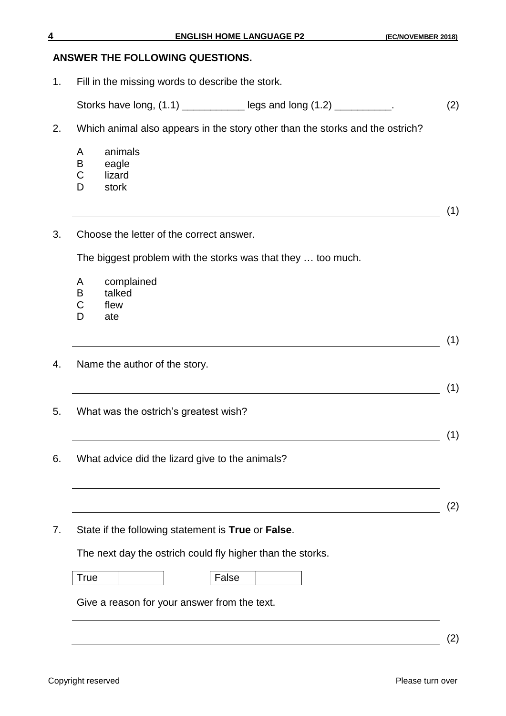#### **ANSWER THE FOLLOWING QUESTIONS.**

- 1. Fill in the missing words to describe the stork. Storks have long, (1.1) \_\_\_\_\_\_\_\_\_\_\_\_\_\_ legs and long (1.2) \_\_\_\_\_\_\_\_\_\_. (2) 2. Which animal also appears in the story other than the storks and the ostrich? A animals B eagle C lizard D stork (1) 3. Choose the letter of the correct answer. The biggest problem with the storks was that they … too much. A complained B talked C flew D ate (1) 4. Name the author of the story.  $\overline{\hspace{2cm}}$  (1) 5. What was the ostrich's greatest wish?  $\overline{\hspace{2cm}}$  (1) 6. What advice did the lizard give to the animals?  $(2)$ 7. State if the following statement is **True** or **False**. The next day the ostrich could fly higher than the storks. True I Halse Give a reason for your answer from the text.
	- (2)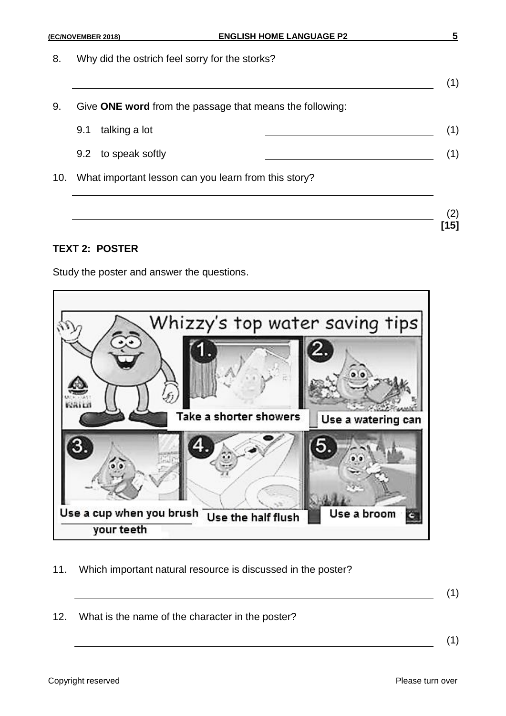8. Why did the ostrich feel sorry for the storks?

9. Give **ONE word** from the passage that means the following:

| 9.1 talking a lot                                        |  |
|----------------------------------------------------------|--|
| 9.2 to speak softly                                      |  |
| 10. What important lesson can you learn from this story? |  |

### **TEXT 2: POSTER**

Study the poster and answer the questions.



11. Which important natural resource is discussed in the poster?

(1)

(1)

(2) **[15]**

12. What is the name of the character in the poster?

(1)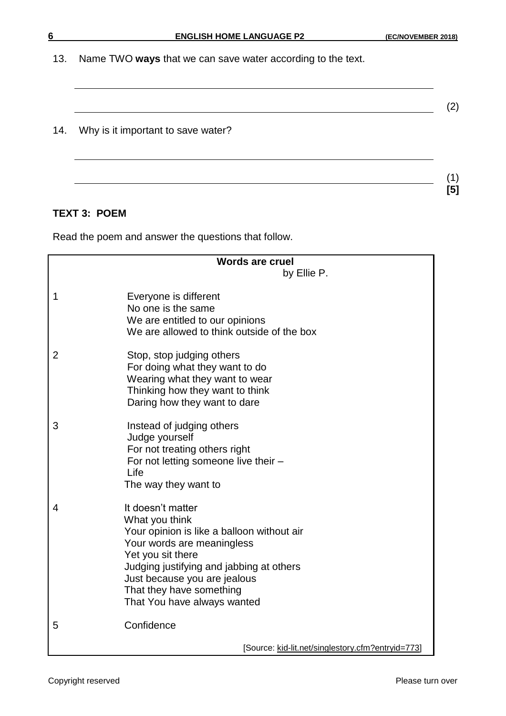13. Name TWO **ways** that we can save water according to the text.

(2)

### 14. Why is it important to save water?

## **TEXT 3: POEM**

Read the poem and answer the questions that follow.

|                | <b>Words are cruel</b>                                                                                                                                                                                                                                                      |
|----------------|-----------------------------------------------------------------------------------------------------------------------------------------------------------------------------------------------------------------------------------------------------------------------------|
|                | by Ellie P.                                                                                                                                                                                                                                                                 |
| 1              | Everyone is different<br>No one is the same<br>We are entitled to our opinions<br>We are allowed to think outside of the box                                                                                                                                                |
| $\overline{2}$ | Stop, stop judging others<br>For doing what they want to do<br>Wearing what they want to wear<br>Thinking how they want to think<br>Daring how they want to dare                                                                                                            |
| 3              | Instead of judging others<br>Judge yourself<br>For not treating others right<br>For not letting someone live their -<br>Life<br>The way they want to                                                                                                                        |
| 4              | It doesn't matter<br>What you think<br>Your opinion is like a balloon without air<br>Your words are meaningless<br>Yet you sit there<br>Judging justifying and jabbing at others<br>Just because you are jealous<br>That they have something<br>That You have always wanted |
| 5              | Confidence                                                                                                                                                                                                                                                                  |
|                | [Source: kid-lit.net/singlestory.cfm?entryid=773]                                                                                                                                                                                                                           |

(1) **[5]**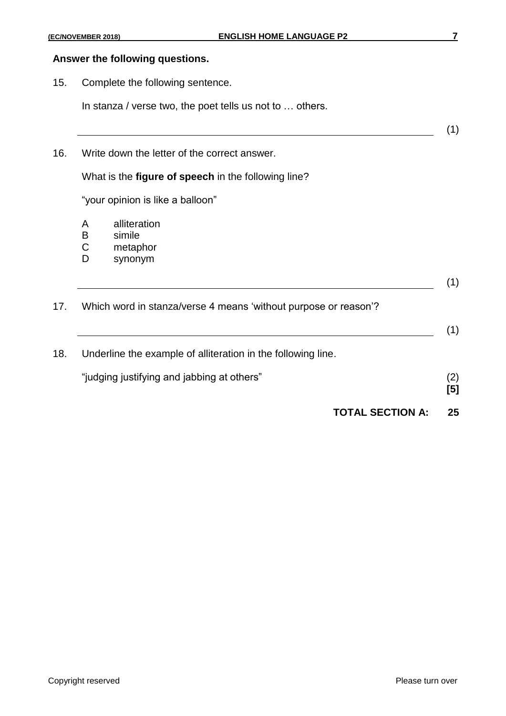#### **Answer the following questions.**

15. Complete the following sentence.

In stanza / verse two, the poet tells us not to … others.

(1) 16. Write down the letter of the correct answer. What is the **figure of speech** in the following line? "your opinion is like a balloon" A alliteration B simile C metaphor D synonym (1) 17. Which word in stanza/verse 4 means 'without purpose or reason'? (1) 18. Underline the example of alliteration in the following line. "judging justifying and jabbing at others" (2) **[5] TOTAL SECTION A: 25**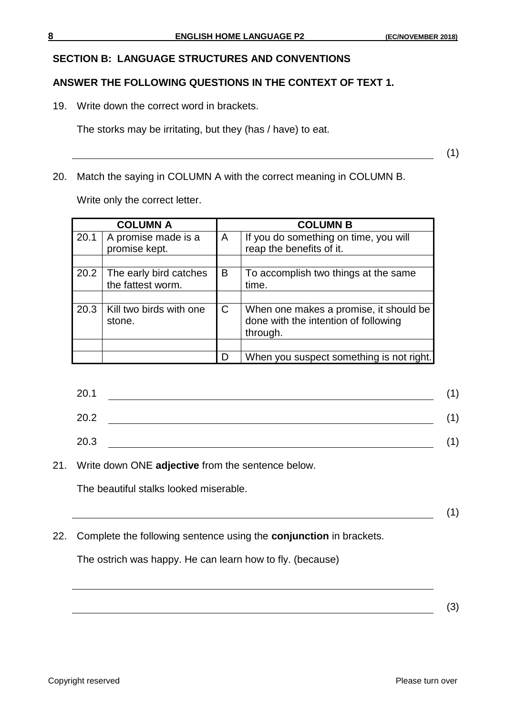#### **SECTION B: LANGUAGE STRUCTURES AND CONVENTIONS**

#### **ANSWER THE FOLLOWING QUESTIONS IN THE CONTEXT OF TEXT 1.**

19. Write down the correct word in brackets.

The storks may be irritating, but they (has / have) to eat.

(1)

20. Match the saying in COLUMN A with the correct meaning in COLUMN B.

Write only the correct letter.

| <b>COLUMN A</b> |                                             |   | <b>COLUMN B</b>                                                                            |  |  |
|-----------------|---------------------------------------------|---|--------------------------------------------------------------------------------------------|--|--|
| 20.1            | A promise made is a<br>promise kept.        | A | If you do something on time, you will<br>reap the benefits of it.                          |  |  |
|                 |                                             |   |                                                                                            |  |  |
| 20.2            | The early bird catches<br>the fattest worm. | B | To accomplish two things at the same<br>time.                                              |  |  |
|                 |                                             |   |                                                                                            |  |  |
| 20.3            | Kill two birds with one<br>stone.           | C | When one makes a promise, it should be<br>done with the intention of following<br>through. |  |  |
|                 |                                             |   |                                                                                            |  |  |
|                 |                                             |   | When you suspect something is not right.                                                   |  |  |

| 20.1 |  |
|------|--|
| 20.2 |  |
| 20.3 |  |

21. Write down ONE **adjective** from the sentence below.

The beautiful stalks looked miserable.

(1)

22. Complete the following sentence using the **conjunction** in brackets.

The ostrich was happy. He can learn how to fly. (because)

(3)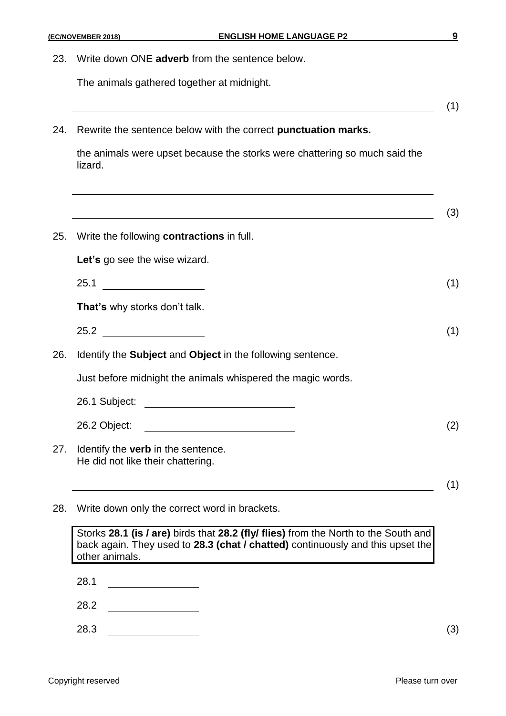The animals gathered together at midnight.

24. Rewrite the sentence below with the correct **punctuation marks.**

the animals were upset because the storks were chattering so much said the lizard.

|     |                                                                                | (3) |
|-----|--------------------------------------------------------------------------------|-----|
| 25. | Write the following <b>contractions</b> in full.                               |     |
|     | Let's go see the wise wizard.                                                  |     |
|     | 25.1                                                                           | (1) |
|     | That's why storks don't talk.                                                  |     |
|     | 25.2                                                                           | (1) |
| 26. | Identify the <b>Subject</b> and <b>Object</b> in the following sentence.       |     |
|     | Just before midnight the animals whispered the magic words.                    |     |
|     | 26.1 Subject:<br><u> 1980 - Andrea Station Barbara, amerikan per</u>           |     |
|     | 26.2 Object:                                                                   | (2) |
| 27. | Identify the <b>verb</b> in the sentence.<br>He did not like their chattering. |     |
|     |                                                                                | (1) |

28. Write down only the correct word in brackets.

Storks **28.1 (is / are)** birds that **28.2 (fly/ flies)** from the North to the South and back again. They used to **28.3 (chat / chatted)** continuously and this upset the other animals.

- 28.1
- 28.2
- 28.3 (3)

(1)